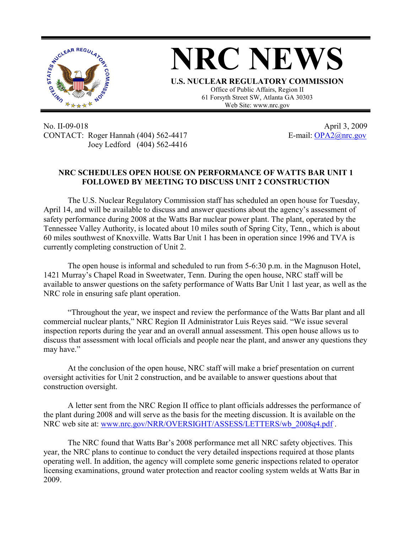

No. II-09-018 April 3, 2009 CONTACT: Roger Hannah (404) 562-4417 E-mail: OPA2@nrc.gov Joey Ledford (404) 562-4416

## **NRC SCHEDULES OPEN HOUSE ON PERFORMANCE OF WATTS BAR UNIT 1 FOLLOWED BY MEETING TO DISCUSS UNIT 2 CONSTRUCTION**

The U.S. Nuclear Regulatory Commission staff has scheduled an open house for Tuesday, April 14, and will be available to discuss and answer questions about the agency's assessment of safety performance during 2008 at the Watts Bar nuclear power plant. The plant, operated by the Tennessee Valley Authority, is located about 10 miles south of Spring City, Tenn., which is about 60 miles southwest of Knoxville. Watts Bar Unit 1 has been in operation since 1996 and TVA is currently completing construction of Unit 2.

The open house is informal and scheduled to run from 5-6:30 p.m. in the Magnuson Hotel, 1421 Murray's Chapel Road in Sweetwater, Tenn. During the open house, NRC staff will be available to answer questions on the safety performance of Watts Bar Unit 1 last year, as well as the NRC role in ensuring safe plant operation.

"Throughout the year, we inspect and review the performance of the Watts Bar plant and all commercial nuclear plants," NRC Region II Administrator Luis Reyes said. "We issue several inspection reports during the year and an overall annual assessment. This open house allows us to discuss that assessment with local officials and people near the plant, and answer any questions they may have."

At the conclusion of the open house, NRC staff will make a brief presentation on current oversight activities for Unit 2 construction, and be available to answer questions about that construction oversight.

A letter sent from the NRC Region II office to plant officials addresses the performance of the plant during 2008 and will serve as the basis for the meeting discussion. It is available on the NRC web site at: www.nrc.gov/NRR/OVERSIGHT/ASSESS/LETTERS/wb\_2008q4.pdf .

The NRC found that Watts Bar's 2008 performance met all NRC safety objectives. This year, the NRC plans to continue to conduct the very detailed inspections required at those plants operating well. In addition, the agency will complete some generic inspections related to operator licensing examinations, ground water protection and reactor cooling system welds at Watts Bar in 2009.